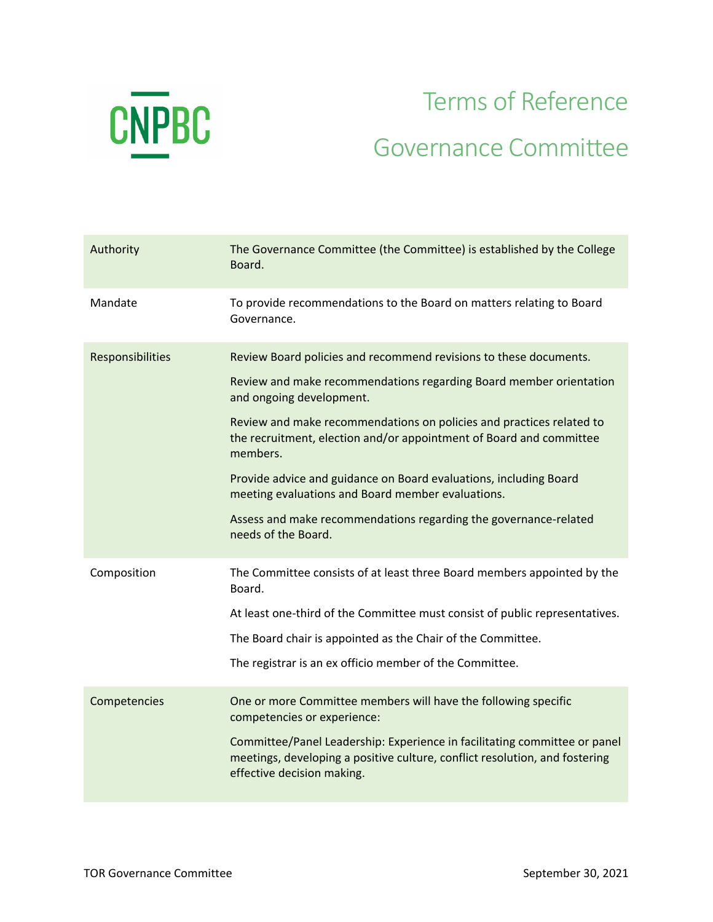

## Terms of Reference Governance Committee

| Authority        | The Governance Committee (the Committee) is established by the College<br>Board.                                                                                                       |
|------------------|----------------------------------------------------------------------------------------------------------------------------------------------------------------------------------------|
| Mandate          | To provide recommendations to the Board on matters relating to Board<br>Governance.                                                                                                    |
| Responsibilities | Review Board policies and recommend revisions to these documents.                                                                                                                      |
|                  | Review and make recommendations regarding Board member orientation<br>and ongoing development.                                                                                         |
|                  | Review and make recommendations on policies and practices related to<br>the recruitment, election and/or appointment of Board and committee<br>members.                                |
|                  | Provide advice and guidance on Board evaluations, including Board<br>meeting evaluations and Board member evaluations.                                                                 |
|                  | Assess and make recommendations regarding the governance-related<br>needs of the Board.                                                                                                |
| Composition      | The Committee consists of at least three Board members appointed by the<br>Board.                                                                                                      |
|                  | At least one-third of the Committee must consist of public representatives.                                                                                                            |
|                  | The Board chair is appointed as the Chair of the Committee.                                                                                                                            |
|                  | The registrar is an ex officio member of the Committee.                                                                                                                                |
| Competencies     | One or more Committee members will have the following specific<br>competencies or experience:                                                                                          |
|                  | Committee/Panel Leadership: Experience in facilitating committee or panel<br>meetings, developing a positive culture, conflict resolution, and fostering<br>effective decision making. |